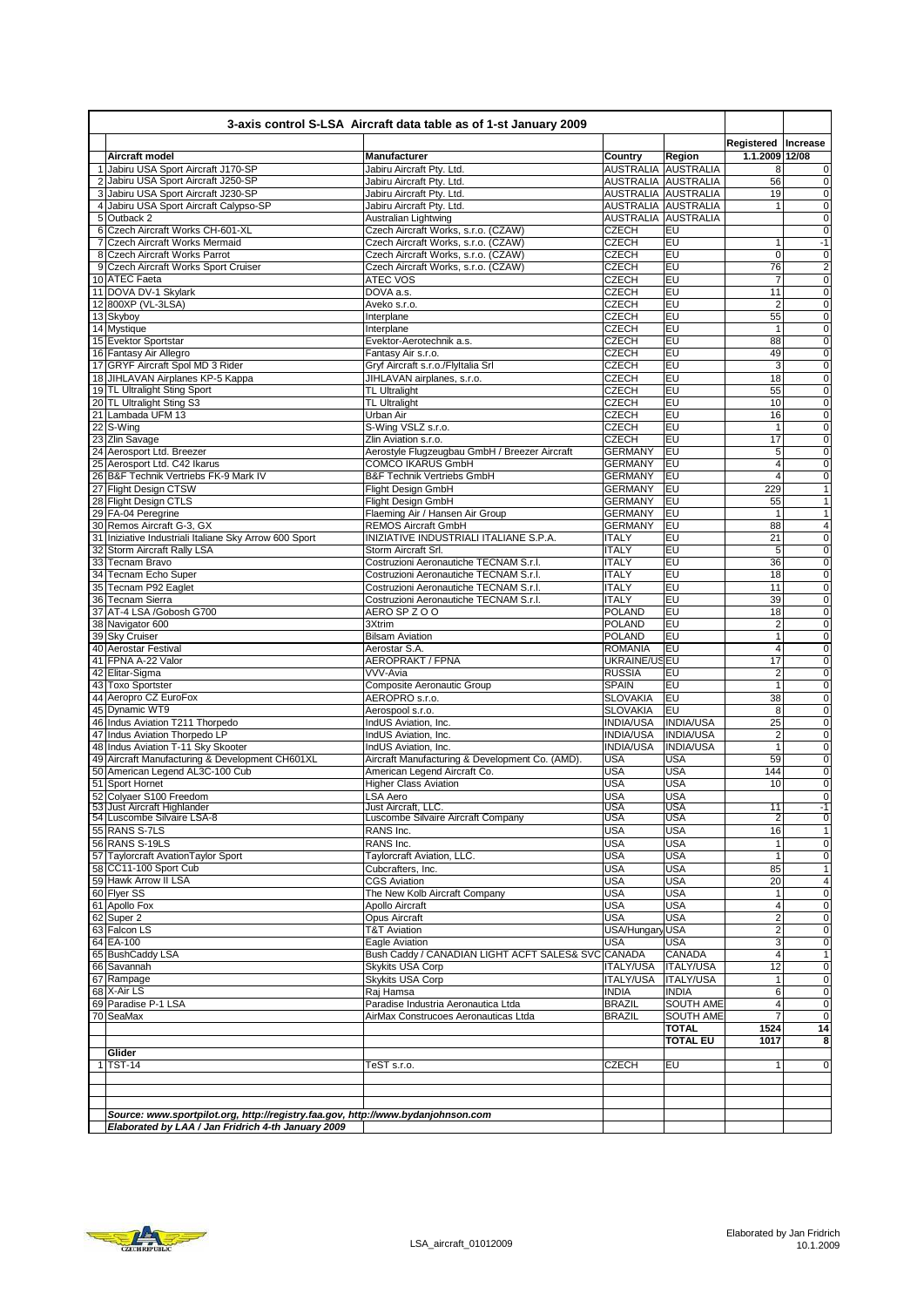| 3-axis control S-LSA Aircraft data table as of 1-st January 2009 |                                                                                  |                                                          |                                            |                          |                         |                            |  |
|------------------------------------------------------------------|----------------------------------------------------------------------------------|----------------------------------------------------------|--------------------------------------------|--------------------------|-------------------------|----------------------------|--|
|                                                                  |                                                                                  |                                                          |                                            |                          | Registered   Increase   |                            |  |
|                                                                  | Aircraft model                                                                   | Manufacturer                                             | Country                                    | Region                   | 1.1.2009 12/08          |                            |  |
|                                                                  | 1 Jabiru USA Sport Aircraft J170-SP<br>2 Jabiru USA Sport Aircraft J250-SP       | Jabiru Aircraft Pty. Ltd.                                | AUSTRALIA AUSTRALIA<br>AUSTRALIA AUSTRALIA |                          | 8<br>56                 |                            |  |
|                                                                  | 3 Jabiru USA Sport Aircraft J230-SP                                              | Jabiru Aircraft Pty. Ltd.<br>Jabiru Aircraft Pty. Ltd.   | AUSTRALIA AUSTRALIA                        |                          | 19                      | $\pmb{0}$<br>$\mathbf 0$   |  |
|                                                                  | 4 Jabiru USA Sport Aircraft Calypso-SP                                           | Jabiru Aircraft Pty. Ltd.                                | AUSTRALIA AUSTRALIA                        |                          | 1                       | $\mathbf 0$                |  |
|                                                                  | 5 Outback 2                                                                      | Australian Lightwing                                     | AUSTRALIA AUSTRALIA                        |                          |                         | $\mathbf 0$                |  |
|                                                                  | 6 Czech Aircraft Works CH-601-XL                                                 | Czech Aircraft Works, s.r.o. (CZAW)                      | <b>CZECH</b>                               | EU                       |                         | $\mathbf 0$                |  |
|                                                                  | 7 Czech Aircraft Works Mermaid                                                   | Czech Aircraft Works, s.r.o. (CZAW)                      | <b>CZECH</b>                               | EU                       | 1                       | $-1$                       |  |
|                                                                  | 8 Czech Aircraft Works Parrot                                                    | Czech Aircraft Works, s.r.o. (CZAW)                      | <b>CZECH</b>                               | EU                       | 0                       | 0                          |  |
|                                                                  | 9 Czech Aircraft Works Sport Cruiser                                             | Czech Aircraft Works, s.r.o. (CZAW)                      | <b>CZECH</b>                               | EU                       | 76                      | $\overline{\mathbf{c}}$    |  |
|                                                                  | 10 ATEC Faeta                                                                    | <b>ATEC VOS</b>                                          | <b>CZECH</b>                               | EU                       | $\overline{7}$          | $\mathbf 0$                |  |
|                                                                  | 11 DOVA DV-1 Skylark                                                             | DOVA a.s.                                                | <b>CZECH</b>                               | EU                       | 11                      | $\mathbf 0$                |  |
|                                                                  | 12 800XP (VL-3LSA)                                                               | Aveko s.r.o.                                             | <b>CZECH</b>                               | EU                       | $\overline{c}$          | $\mathbf 0$                |  |
| 13 Skyboy                                                        |                                                                                  | Interplane                                               | <b>CZECH</b>                               | EU                       | 55                      | $\mathbf 0$                |  |
|                                                                  | 14 Mystique                                                                      | Interplane                                               | <b>CZECH</b>                               | EU                       | 1                       | $\overline{0}$             |  |
|                                                                  | 15 Evektor Sportstar                                                             | Evektor-Aerotechnik a.s.                                 | <b>CZECH</b>                               | EU                       | 88                      | $\pmb{0}$                  |  |
|                                                                  | 16 Fantasy Air Allegro<br>17 GRYF Aircraft Spol MD 3 Rider                       | Fantasy Air s.r.o.                                       | <b>CZECH</b>                               | EU                       | 49                      | $\mathbf 0$                |  |
|                                                                  |                                                                                  | Gryf Aircraft s.r.o./FlyItalia Srl                       | <b>CZECH</b>                               | EU<br>EU                 | 3<br>18                 | $\mathbf 0$<br>$\mathbf 0$ |  |
|                                                                  | 18 JIHLAVAN Airplanes KP-5 Kappa<br>19 TL Ultralight Sting Sport                 | JIHLAVAN airplanes, s.r.o.<br><b>TL Ultralight</b>       | <b>CZECH</b><br><b>CZECH</b>               | EU                       | 55                      | $\mathbf 0$                |  |
|                                                                  | 20 TL Ultralight Sting S3                                                        | <b>TL Ultralight</b>                                     | <b>CZECH</b>                               | EU                       | 10                      | $\mathbf 0$                |  |
|                                                                  | 21 Lambada UFM 13                                                                | Urban Air                                                | <b>CZECH</b>                               | EU                       | 16                      | $\mathbf 0$                |  |
| 22 S-Wing                                                        |                                                                                  | S-Wing VSLZ s.r.o.                                       | <b>CZECH</b>                               | EU                       | 1                       | $\mathbf 0$                |  |
|                                                                  | 23 Zlin Savage                                                                   | Zlin Aviation s.r.o.                                     | <b>CZECH</b>                               | EU                       | 17                      | $\mathbf 0$                |  |
|                                                                  | 24 Aerosport Ltd. Breezer                                                        | Aerostyle Flugzeugbau GmbH / Breezer Aircraft            | <b>GERMANY</b>                             | EU                       | 5                       | $\mathbf 0$                |  |
|                                                                  | 25 Aerosport Ltd. C42 Ikarus                                                     | <b>COMCO IKARUS GmbH</b>                                 | <b>GERMANY</b>                             | EU                       | $\overline{\mathbf{4}}$ | $\mathbf 0$                |  |
|                                                                  | 26 B&F Technik Vertriebs FK-9 Mark IV                                            | <b>B&amp;F Technik Vertriebs GmbH</b>                    | <b>GERMANY</b>                             | EU                       | 4                       | 0                          |  |
|                                                                  | 27 Flight Design CTSW                                                            | Flight Design GmbH                                       | <b>GERMANY</b>                             | EU                       | 229                     | 1                          |  |
|                                                                  | 28 Flight Design CTLS                                                            | Flight Design GmbH                                       | <b>GERMANY</b>                             | EU                       | 55                      |                            |  |
|                                                                  | 29 FA-04 Peregrine                                                               | Flaeming Air / Hansen Air Group                          | <b>GERMANY</b>                             | EU                       | $\mathbf{1}$            |                            |  |
|                                                                  | 30 Remos Aircraft G-3, GX                                                        | <b>REMOS Aircraft GmbH</b>                               | <b>GERMANY</b>                             | EU                       | 88                      | $\overline{4}$             |  |
|                                                                  | 31 Iniziative Industriali Italiane Sky Arrow 600 Sport                           | INIZIATIVE INDUSTRIALI ITALIANE S.P.A.                   | <b>ITALY</b>                               | EU                       | $\overline{21}$         | $\overline{0}$             |  |
|                                                                  | 32 Storm Aircraft Rally LSA                                                      | Storm Aircraft Srl.                                      | <b>ITALY</b>                               | EU                       | 5                       | $\mathbf 0$                |  |
|                                                                  | 33 Tecnam Bravo                                                                  | Costruzioni Aeronautiche TECNAM S.r.l.                   | <b>ITALY</b>                               | EU                       | 36                      | $\mathbf 0$                |  |
|                                                                  | 34 Tecnam Echo Super                                                             | Costruzioni Aeronautiche TECNAM S.r.l.                   | <b>ITALY</b>                               | EU                       | 18                      | $\mathbf 0$                |  |
|                                                                  | 35 Tecnam P92 Eaglet                                                             | Costruzioni Aeronautiche TECNAM S.r.l.                   | <b>ITALY</b>                               | EU                       | 11                      | $\mathbf 0$                |  |
|                                                                  | 36 Tecnam Sierra                                                                 | Costruzioni Aeronautiche TECNAM S.r.l.                   | <b>ITALY</b>                               | EU                       | 39                      | $\mathbf 0$                |  |
|                                                                  | 37 AT-4 LSA /Gobosh G700                                                         | AERO SP Z O O                                            | <b>POLAND</b>                              | EU                       | 18                      | $\mathbf 0$                |  |
|                                                                  | 38 Navigator 600                                                                 | 3Xtrim                                                   | <b>POLAND</b>                              | EU<br>EU                 | $\overline{2}$          | $\mathbf 0$                |  |
|                                                                  | 39 Sky Cruiser<br>40 Aerostar Festival                                           | <b>Bilsam Aviation</b><br>Aerostar S.A.                  | <b>POLAND</b><br><b>ROMANIA</b>            | EU                       | $\mathbf{1}$<br>4       | $\mathbf 0$<br>$\mathbf 0$ |  |
|                                                                  | 41 FPNA A-22 Valor                                                               | AEROPRAKT / FPNA                                         | UKRAINE/USEU                               |                          | 17                      | $\mathbf 0$                |  |
|                                                                  | 42 Elitar-Sigma                                                                  | VVV-Avia                                                 | <b>RUSSIA</b>                              | EU                       | $\overline{\mathbf{c}}$ | $\mathbf 0$                |  |
|                                                                  | 43 Toxo Sportster                                                                | Composite Aeronautic Group                               | <b>SPAIN</b>                               | EU                       | $\mathbf{1}$            | $\mathbf 0$                |  |
|                                                                  | 44 Aeropro CZ EuroFox                                                            | AEROPRO s.r.o.                                           | <b>SLOVAKIA</b>                            | EU                       | 38                      | $\mathbf 0$                |  |
|                                                                  | 45 Dynamic WT9                                                                   | Aerospool s.r.o.                                         | <b>SLOVAKIA</b>                            | EU                       | 8                       | $\mathbf 0$                |  |
|                                                                  | 46 Indus Aviation T211 Thorpedo                                                  | IndUS Aviation, Inc.                                     | <b>INDIA/USA</b>                           | <b>INDIA/USA</b>         | 25                      | $\mathbf 0$                |  |
|                                                                  | 47 Indus Aviation Thorpedo LP                                                    | IndUS Aviation, Inc.                                     | <b>INDIA/USA</b>                           | <b>INDIA/USA</b>         | $\overline{2}$          | $\mathbf 0$                |  |
|                                                                  | 48 Indus Aviation T-11 Sky Skooter                                               | IndUS Aviation, Inc.                                     | <b>INDIA/USA</b>                           | <b>INDIA/USA</b>         | $\mathbf{1}$            | $\mathbf 0$                |  |
|                                                                  | 49 Aircraft Manufacturing & Development CH601XL                                  | Aircraft Manufacturing & Development Co. (AMD).          | <b>USA</b>                                 | <b>USA</b>               | 59                      | $\pmb{0}$                  |  |
|                                                                  | 50 American Legend AL3C-100 Cub                                                  | American Legend Aircraft Co.                             | <b>USA</b>                                 | <b>USA</b>               | 144                     | $\mathbf 0$                |  |
|                                                                  | 51 Sport Hornet                                                                  | <b>Higher Class Aviation</b>                             | <b>USA</b>                                 | <b>USA</b>               | 10                      | 0                          |  |
|                                                                  | 52 Colyaer S100 Freedom                                                          | <b>LSA Aero</b>                                          | <b>USA</b>                                 | <b>USA</b>               |                         | $\mathbf 0$                |  |
|                                                                  | 53 Just Aircraft Highlander<br>54 Luscombe Silvaire LSA-8                        | Just Aircraft, LLC<br>Luscombe Silvaire Aircraft Company | <b>USA</b><br>USA                          | <b>USA</b><br><b>USA</b> | 11<br>2                 | -1<br>ō                    |  |
|                                                                  | 55 RANS S-7LS                                                                    | RANS Inc.                                                | <b>USA</b>                                 | <b>USA</b>               | 16                      | $\mathbf{1}$               |  |
|                                                                  | 56 RANS S-19LS                                                                   | RANS Inc.                                                | <b>USA</b>                                 | <b>USA</b>               | 1                       | $\mathbf 0$                |  |
|                                                                  | 57 Taylorcraft AvationTaylor Sport                                               | Taylorcraft Aviation, LLC.                               | <b>USA</b>                                 | <b>USA</b>               | 1                       | $\mathbf 0$                |  |
|                                                                  | 58 CC11-100 Sport Cub                                                            | Cubcrafters, Inc.                                        | USA                                        | <b>USA</b>               | 85                      | $\mathbf{1}$               |  |
|                                                                  | 59 Hawk Arrow II LSA                                                             | <b>CGS Aviation</b>                                      | <b>USA</b>                                 | <b>USA</b>               | 20                      | $\overline{\mathbf{4}}$    |  |
|                                                                  | 60 Flyer SS                                                                      | The New Kolb Aircraft Company                            | <b>USA</b>                                 | <b>USA</b>               | 1                       | $\mathbf 0$                |  |
|                                                                  | 61 Apollo Fox                                                                    | Apollo Aircraft                                          | <b>USA</b>                                 | <b>USA</b>               | 4                       | $\pmb{0}$                  |  |
|                                                                  | 62 Super 2                                                                       | Opus Aircraft                                            | <b>USA</b>                                 | <b>USA</b>               | $\overline{\mathbf{c}}$ | $\mathbf 0$                |  |
|                                                                  | 63 Falcon LS                                                                     | <b>T&amp;T Aviation</b>                                  | USA/Hungary USA                            |                          | $\overline{\mathbf{c}}$ | $\mathbf 0$                |  |
| 64 EA-100                                                        |                                                                                  | Eagle Aviation                                           | <b>USA</b>                                 | <b>USA</b>               | 3                       | $\mathbf 0$                |  |
|                                                                  | 65 BushCaddy LSA                                                                 | Bush Caddy / CANADIAN LIGHT ACFT SALES& SVC CANADA       |                                            | CANADA                   | 4                       | $\mathbf{1}$               |  |
|                                                                  | 66 Savannah                                                                      | Skykits USA Corp                                         | <b>ITALY/USA</b>                           | <b>ITALY/USA</b>         | 12                      | $\pmb{0}$                  |  |
|                                                                  | 67 Rampage                                                                       | Skykits USA Corp                                         | <b>ITALY/USA</b>                           | <b>ITALY/USA</b>         | 1                       | $\pmb{0}$                  |  |
|                                                                  | 68 X-Air LS                                                                      | Raj Hamsa                                                | <b>INDIA</b>                               | <b>INDIA</b>             | 6                       | $\pmb{0}$                  |  |
|                                                                  | 69 Paradise P-1 LSA                                                              | Paradise Industria Aeronautica Ltda                      | <b>BRAZIL</b>                              | SOUTH AME                | 4                       | $\mathbf 0$                |  |
|                                                                  | 70 SeaMax                                                                        | AirMax Construcoes Aeronauticas Ltda                     | <b>BRAZIL</b>                              | <b>SOUTH AME</b>         |                         | $\mathbf 0$                |  |
|                                                                  |                                                                                  |                                                          |                                            | <b>TOTAL</b>             | 1524                    | 14                         |  |
|                                                                  |                                                                                  |                                                          |                                            | <b>TOTAL EU</b>          | 1017                    | 8                          |  |
|                                                                  | Glider                                                                           |                                                          |                                            |                          |                         |                            |  |
|                                                                  | $1$ TST-14                                                                       | TeST s.r.o.                                              | <b>CZECH</b>                               | EU                       |                         | 0                          |  |
|                                                                  |                                                                                  |                                                          |                                            |                          |                         |                            |  |
|                                                                  |                                                                                  |                                                          |                                            |                          |                         |                            |  |
|                                                                  | Source: www.sportpilot.org, http://registry.faa.gov, http://www.bydanjohnson.com |                                                          |                                            |                          |                         |                            |  |
|                                                                  | Elaborated by LAA / Jan Fridrich 4-th January 2009                               |                                                          |                                            |                          |                         |                            |  |
|                                                                  |                                                                                  |                                                          |                                            |                          |                         |                            |  |

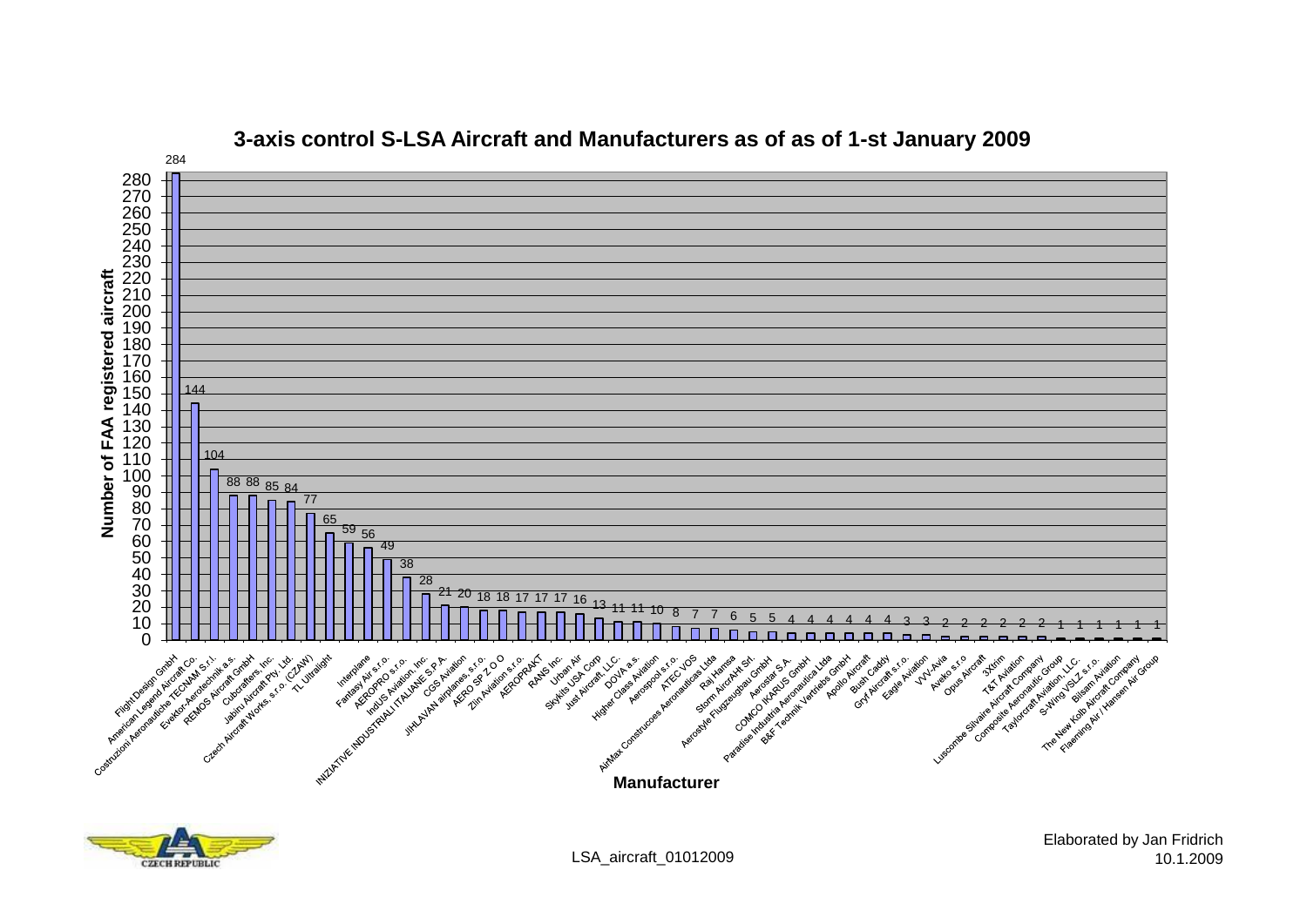

### **3-axis control S-LSA Aircraft and Manufacturers as of as of 1-st January 2009**



LSA\_aircraft\_01012009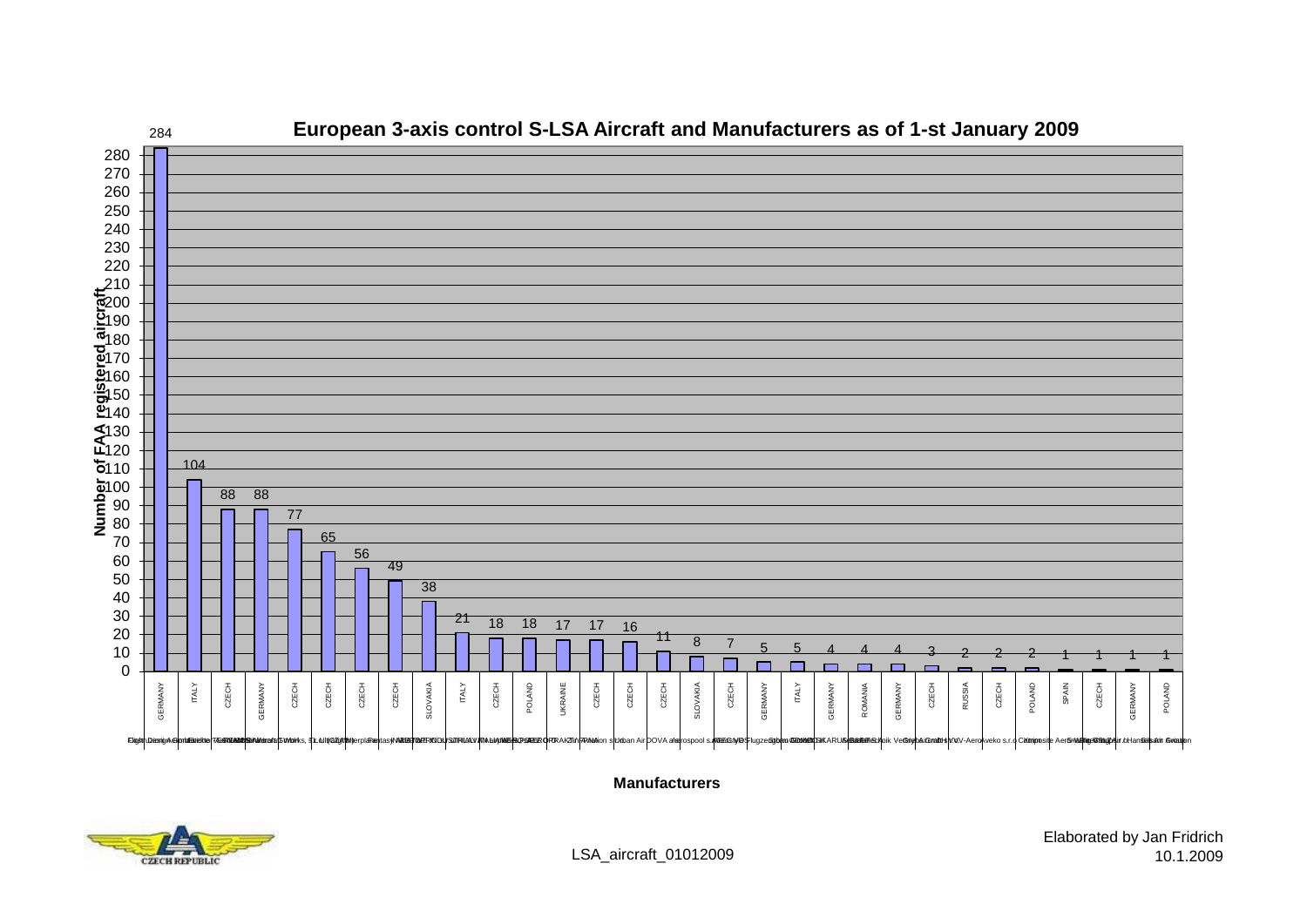

**Manufacturers**

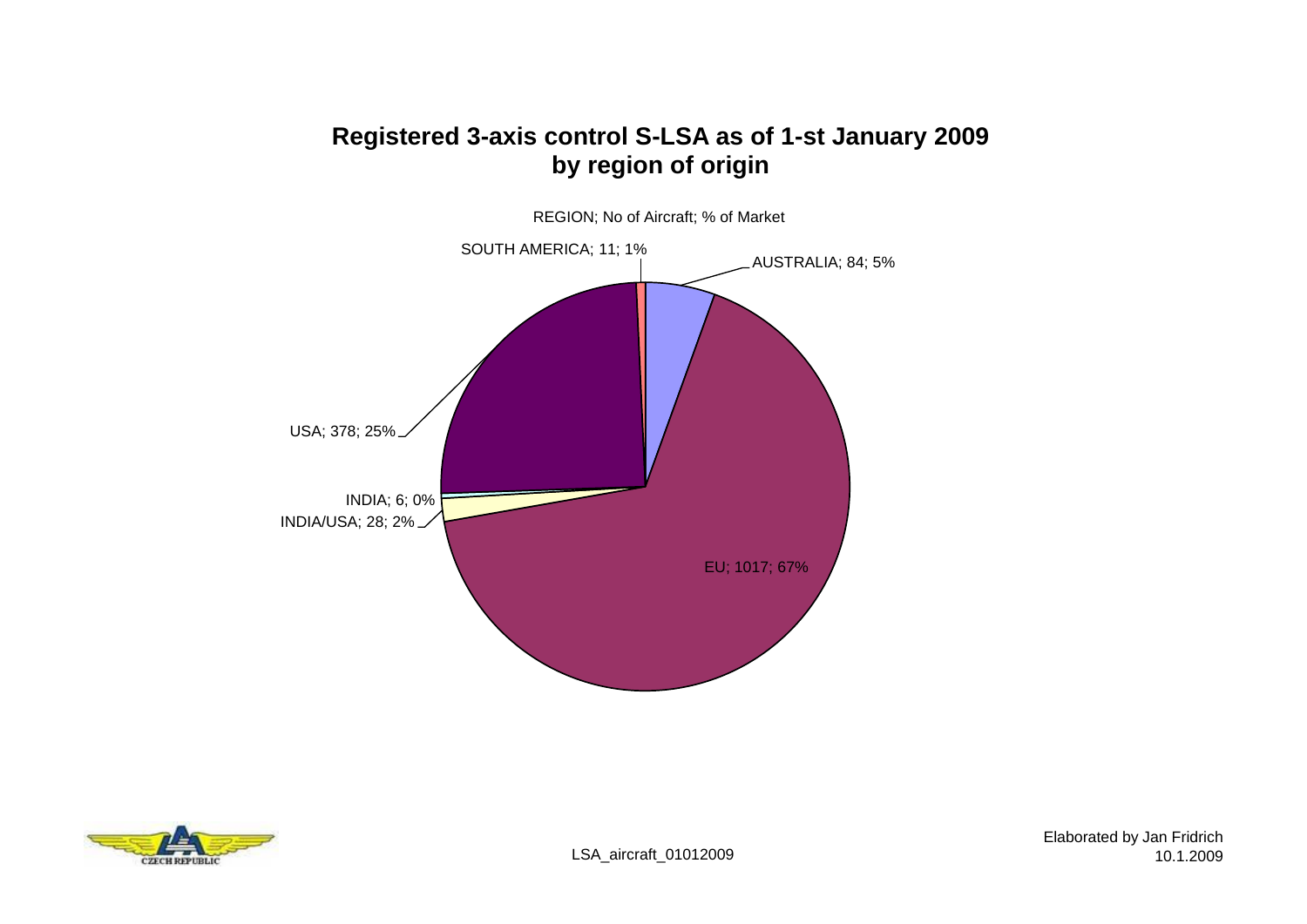## **Registered 3-axis control S-LSA as of 1-st January 2009 by region of origin**



REGION; No of Aircraft; % of Market

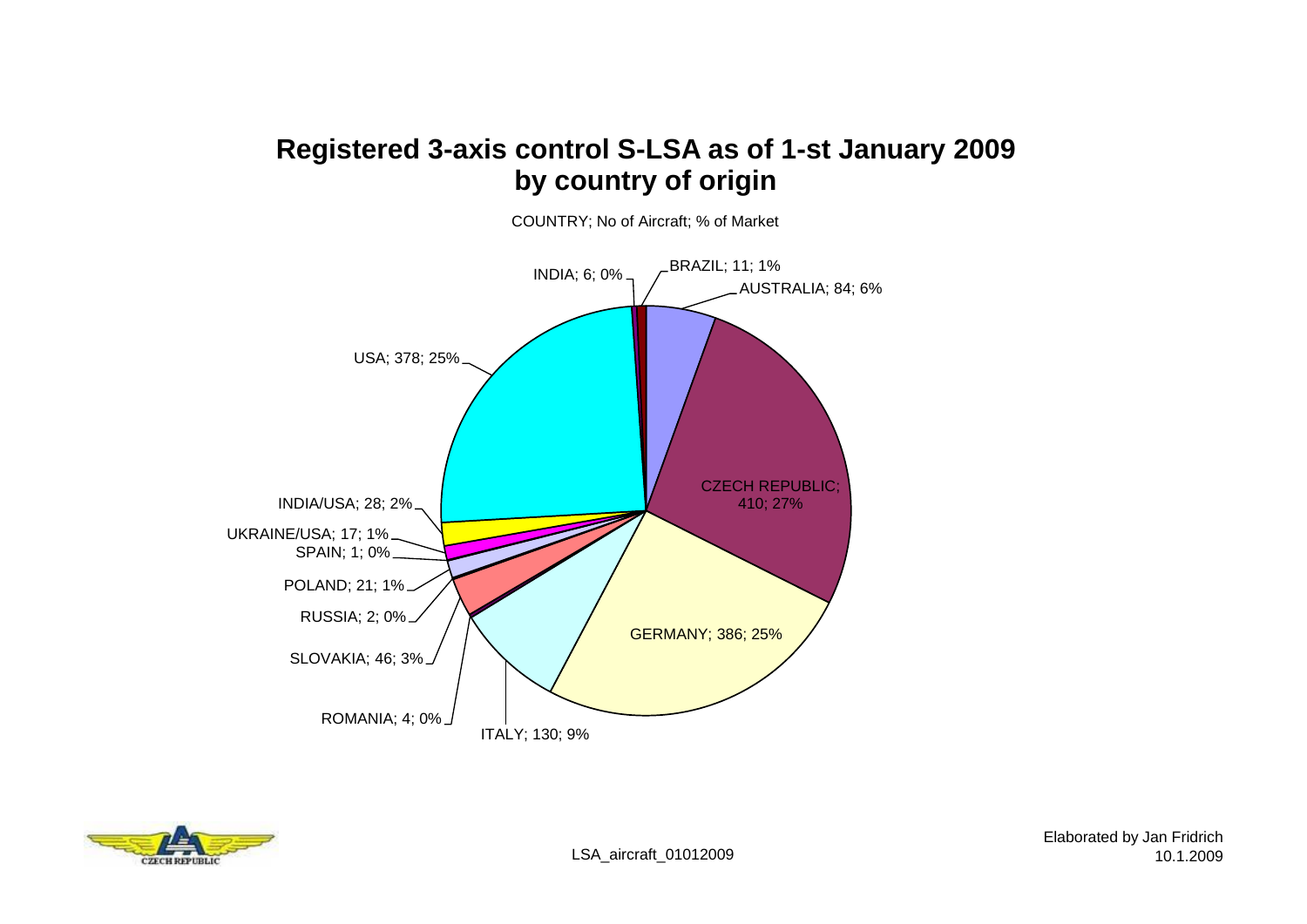# **Registered 3-axis control S-LSA as of 1-st January 2009 by country of origin**



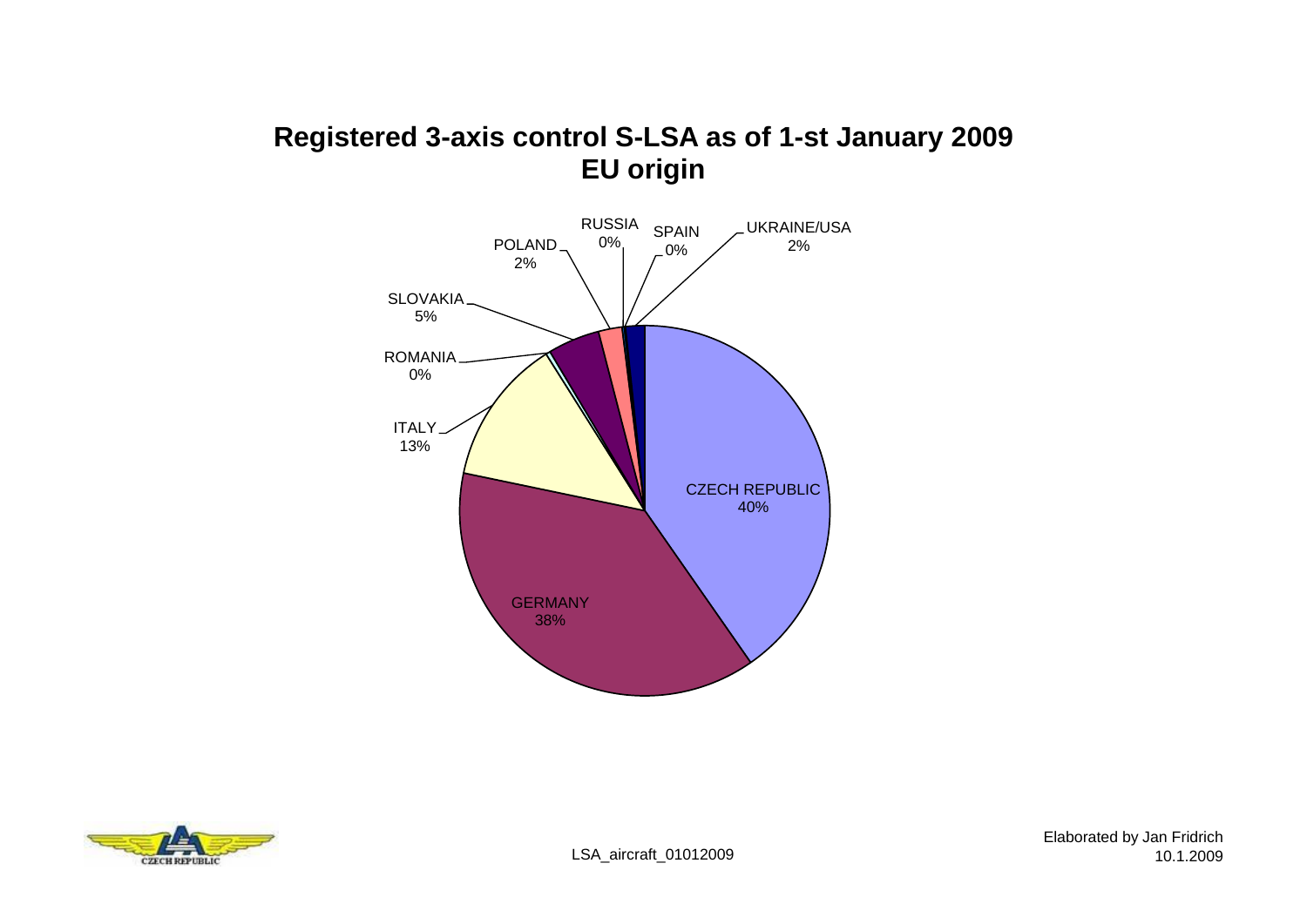# **Registered 3-axis control S-LSA as of 1-st January 2009 EU origin**



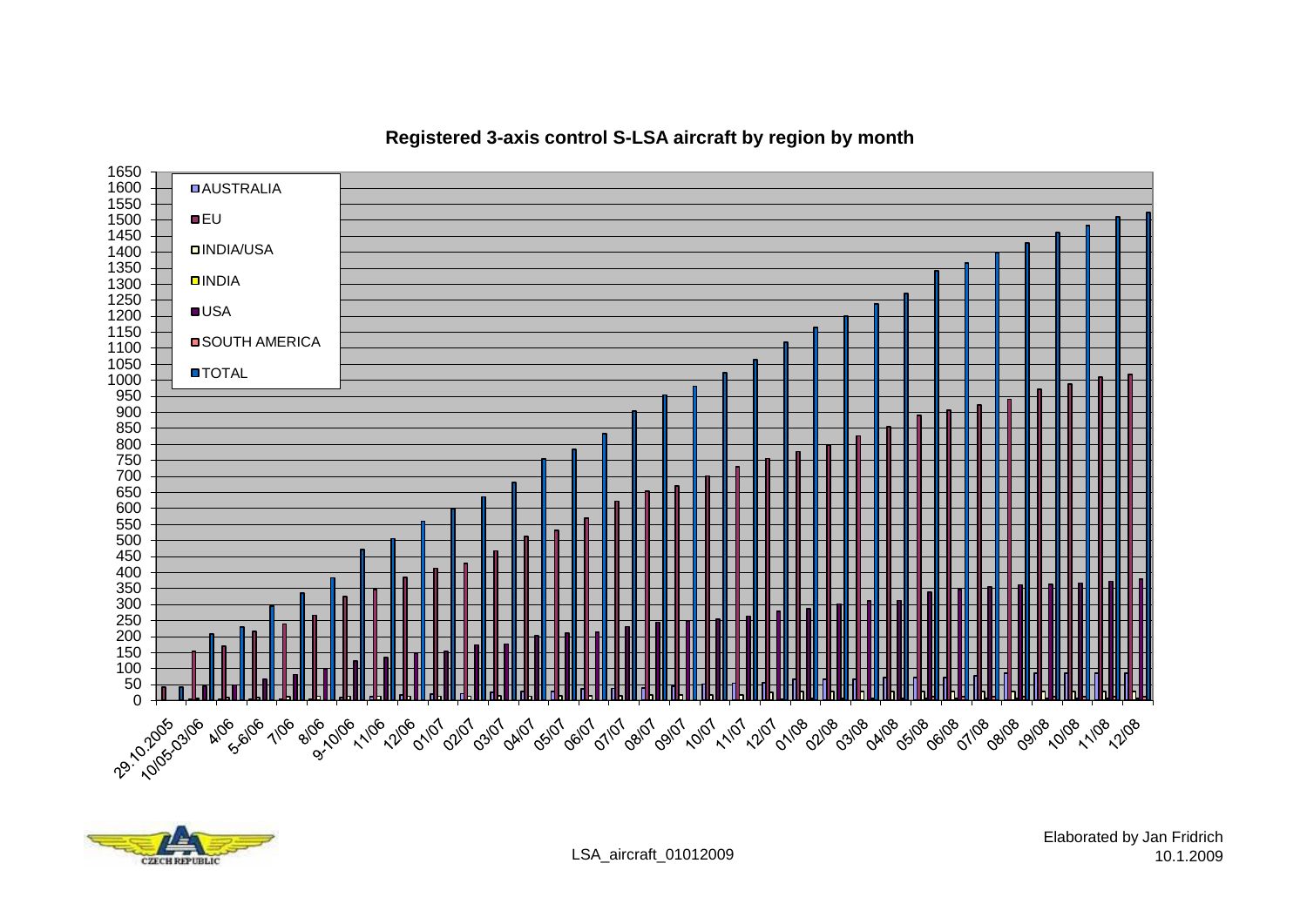

**Registered 3-axis control S-LSA aircraft by region by month**



LSA\_aircraft\_01012009

Elaborated by Jan Fridrich 10.1.2009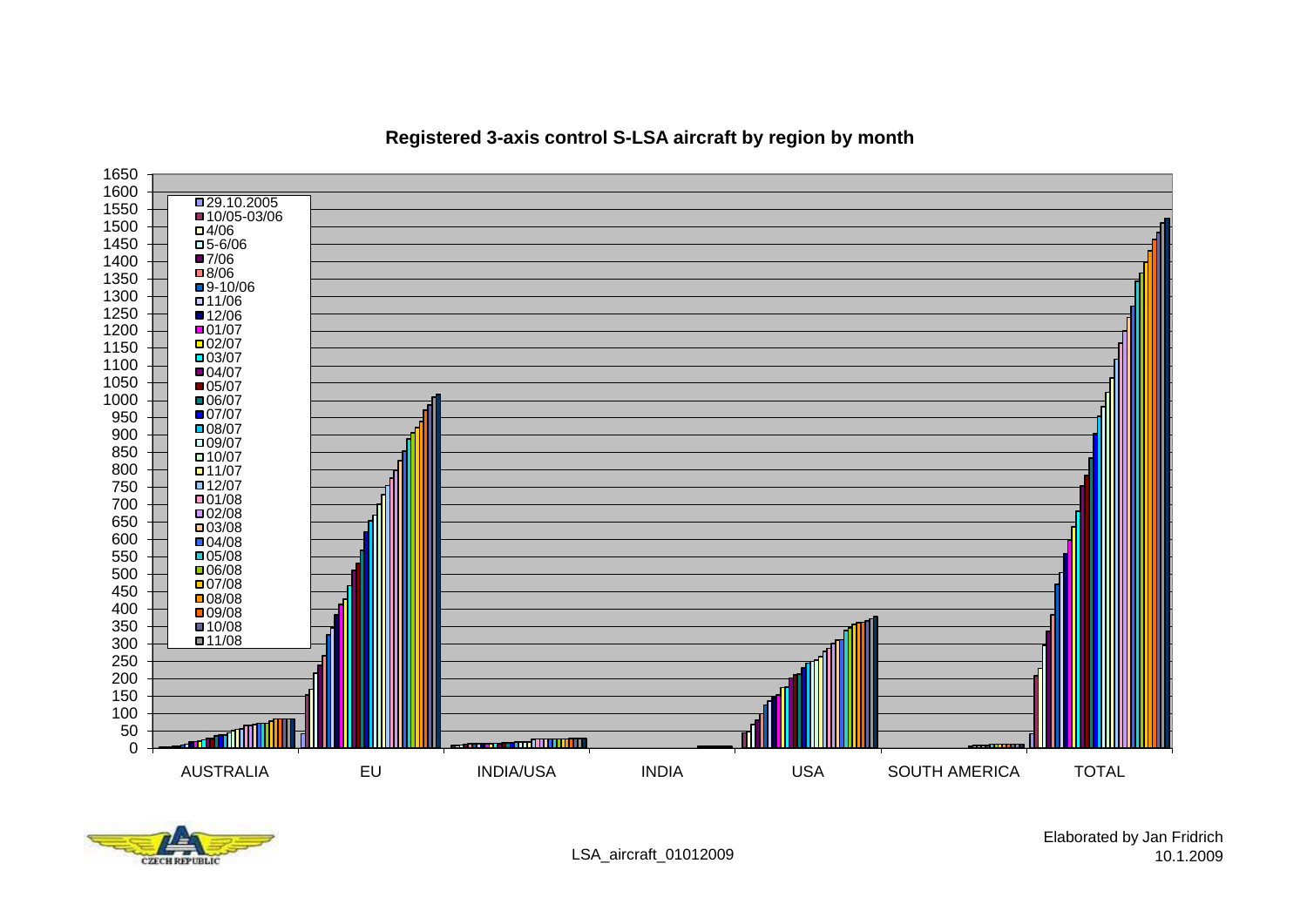

### **Registered 3-axis control S-LSA aircraft by region by month**

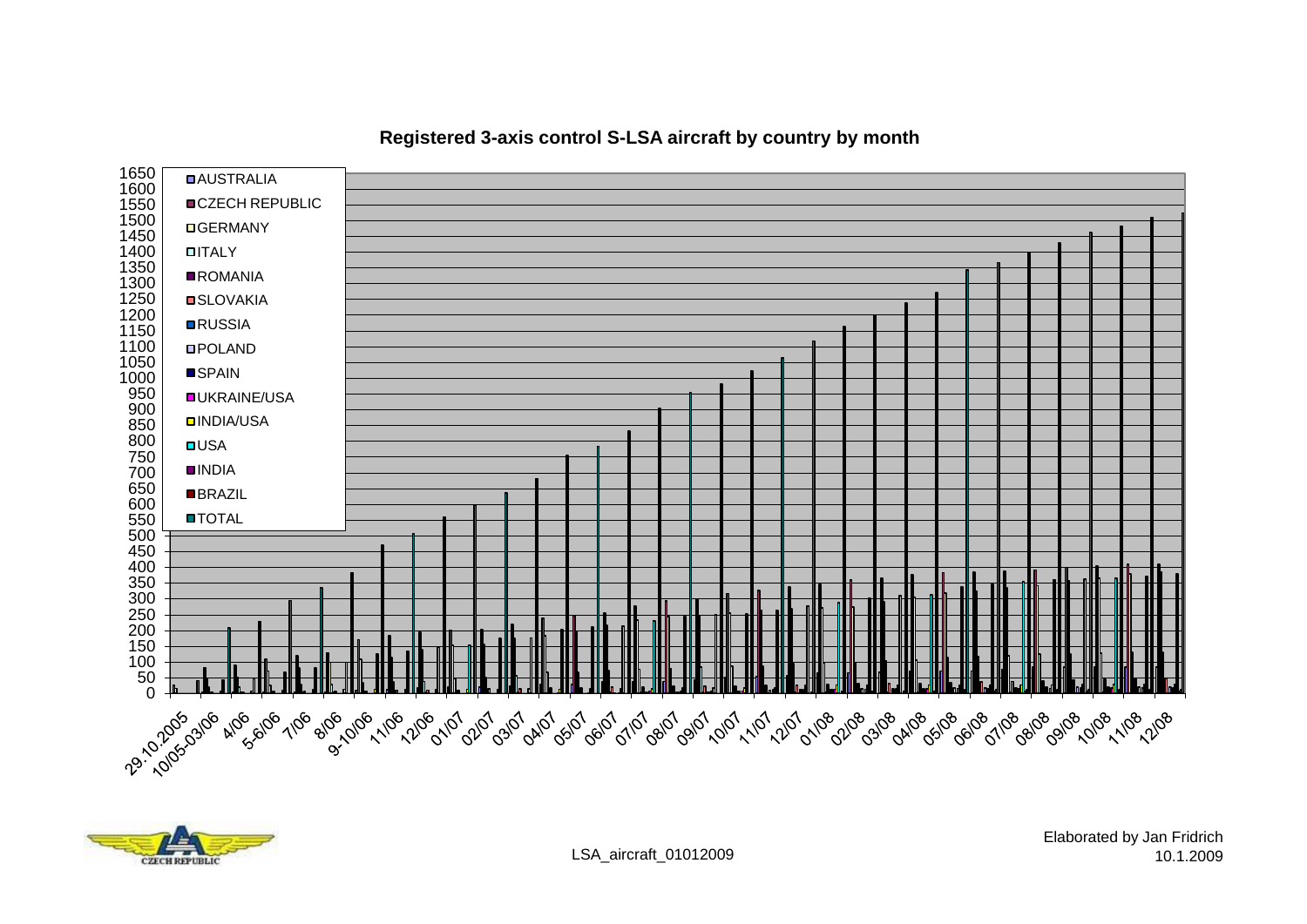

#### **Registered 3-axis control S-LSA aircraft by country by month**

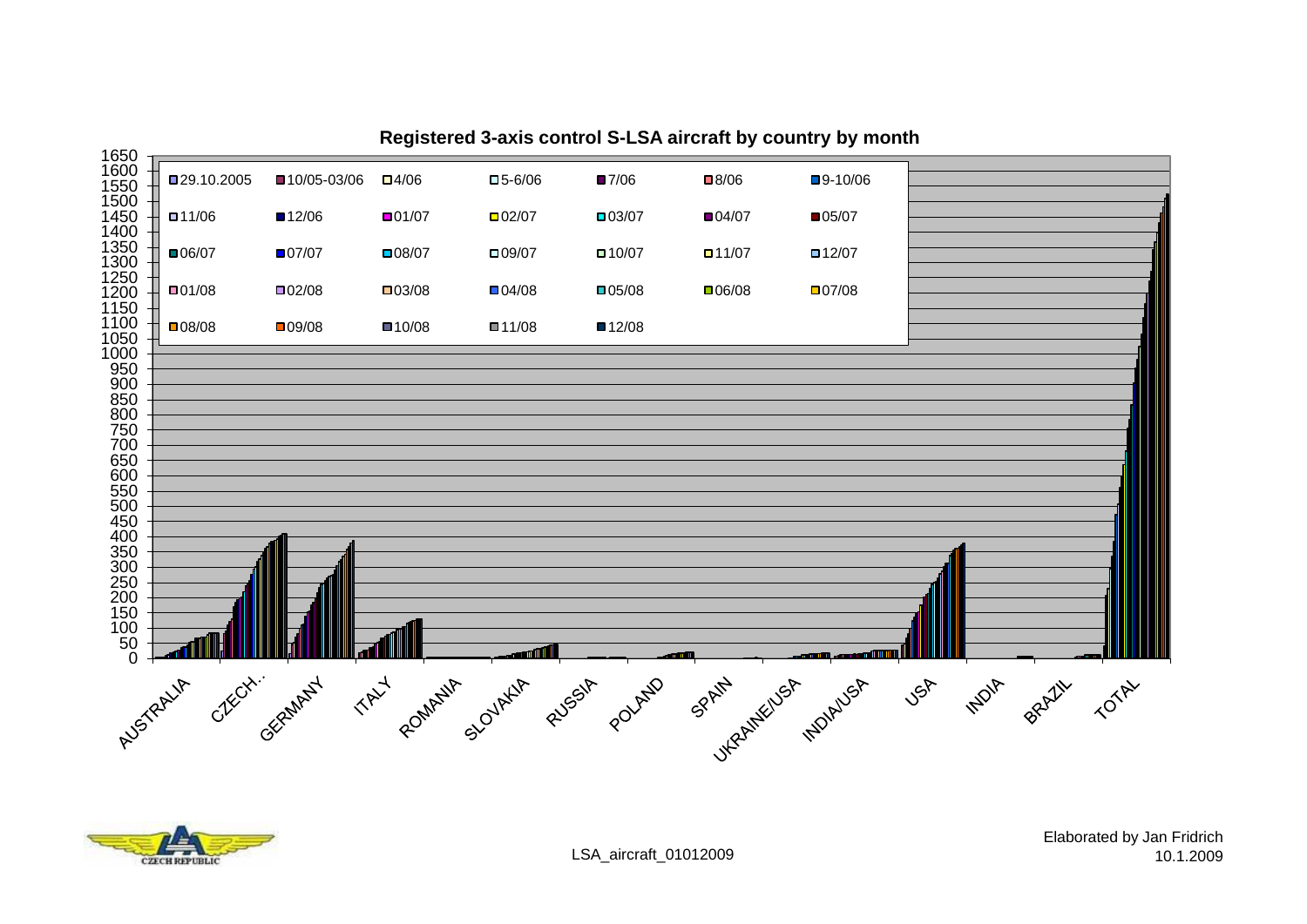

#### **Registered 3-axis control S-LSA aircraft by country by month**

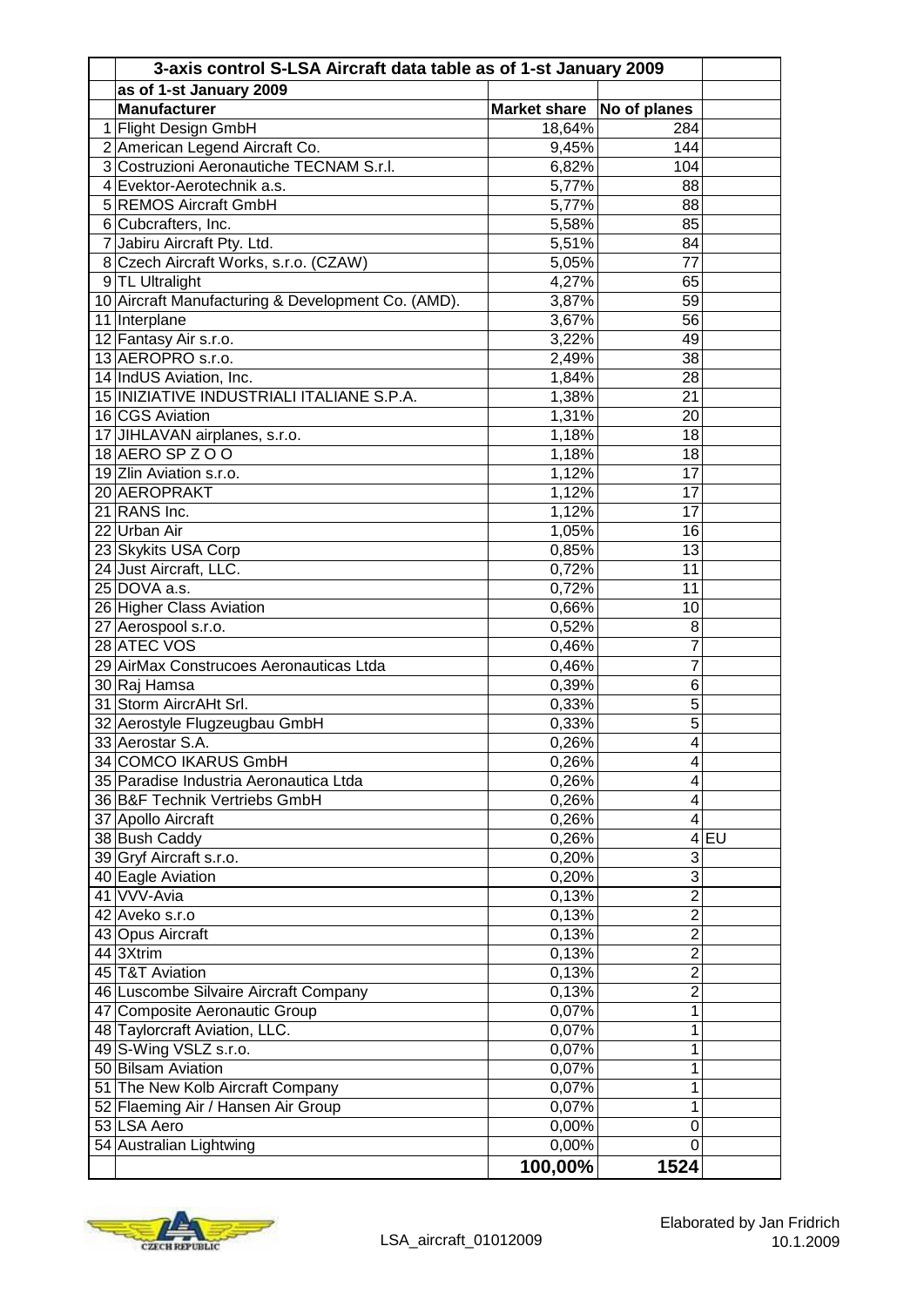| 3-axis control S-LSA Aircraft data table as of 1-st January 2009 |                           |                         |        |  |  |
|------------------------------------------------------------------|---------------------------|-------------------------|--------|--|--|
| as of 1-st January 2009                                          |                           |                         |        |  |  |
| <b>Manufacturer</b>                                              | Market share No of planes |                         |        |  |  |
| 1 Flight Design GmbH                                             | 18,64%                    | 284                     |        |  |  |
| 2 American Legend Aircraft Co.                                   | 9,45%                     | 144                     |        |  |  |
| 3 Costruzioni Aeronautiche TECNAM S.r.l.                         | 6,82%                     | 104                     |        |  |  |
| 4 Evektor-Aerotechnik a.s.                                       | 5,77%                     | 88                      |        |  |  |
| 5 REMOS Aircraft GmbH                                            | 5,77%                     | 88                      |        |  |  |
| 6 Cubcrafters, Inc.                                              | 5,58%                     | 85                      |        |  |  |
| 7 Jabiru Aircraft Pty. Ltd.                                      | 5,51%                     | 84                      |        |  |  |
| 8 Czech Aircraft Works, s.r.o. (CZAW)                            | 5,05%                     | $\overline{77}$         |        |  |  |
| 9 TL Ultralight                                                  | 4,27%                     | 65                      |        |  |  |
| 10 Aircraft Manufacturing & Development Co. (AMD).               | 3,87%                     | 59                      |        |  |  |
| 11 Interplane                                                    | 3,67%                     | 56                      |        |  |  |
| 12 Fantasy Air s.r.o.                                            | 3,22%                     | 49                      |        |  |  |
| 13 AEROPRO s.r.o.                                                | 2,49%                     | 38                      |        |  |  |
| 14 IndUS Aviation, Inc.                                          | 1,84%                     | 28                      |        |  |  |
| 15 INIZIATIVE INDUSTRIALI ITALIANE S.P.A.                        | 1,38%                     | 21                      |        |  |  |
| 16 CGS Aviation                                                  | 1,31%                     | 20                      |        |  |  |
| 17 JIHLAVAN airplanes, s.r.o.                                    | 1,18%                     | 18                      |        |  |  |
| 18 AERO SP Z O O                                                 | 1,18%                     | 18                      |        |  |  |
| 19 Zlin Aviation s.r.o.                                          | 1,12%                     | 17                      |        |  |  |
| 20 AEROPRAKT                                                     | 1,12%                     | 17                      |        |  |  |
| 21 RANS Inc.                                                     | 1,12%                     | 17                      |        |  |  |
| 22 Urban Air                                                     | 1,05%                     | 16                      |        |  |  |
| 23 Skykits USA Corp                                              | 0,85%                     | 13                      |        |  |  |
| 24 Just Aircraft, LLC.                                           | 0,72%                     | 11                      |        |  |  |
| 25 DOVA a.s.                                                     | 0,72%                     | 11                      |        |  |  |
| 26 Higher Class Aviation                                         | 0,66%                     | 10                      |        |  |  |
| 27 Aerospool s.r.o.                                              | 0,52%                     | 8                       |        |  |  |
| 28 ATEC VOS                                                      | 0,46%                     | 7                       |        |  |  |
| 29 AirMax Construcoes Aeronauticas Ltda                          | 0,46%                     | 7                       |        |  |  |
| 30 Raj Hamsa                                                     | 0,39%                     | 6                       |        |  |  |
| 31 Storm AircrAHt Srl.                                           | 0,33%                     | $\overline{5}$          |        |  |  |
| 32 Aerostyle Flugzeugbau GmbH                                    | 0,33%                     | 5                       |        |  |  |
| 33 Aerostar S.A.                                                 | 0,26%                     | 4                       |        |  |  |
| 34 COMCO IKARUS GmbH                                             | 0,26%                     | 4                       |        |  |  |
| 35 Paradise Industria Aeronautica Ltda                           | 0,26%                     | 4                       |        |  |  |
| 36 B&F Technik Vertriebs GmbH                                    | 0,26%                     | $\overline{\mathbf{4}}$ |        |  |  |
| 37 Apollo Aircraft                                               | 0,26%                     | $\overline{4}$          |        |  |  |
| 38 Bush Caddy                                                    | 0,26%                     |                         | $4$ EU |  |  |
| 39 Gryf Aircraft s.r.o.                                          | 0,20%                     | 3                       |        |  |  |
| 40 Eagle Aviation                                                | 0,20%                     | 3                       |        |  |  |
| 41 VVV-Avia                                                      | 0,13%                     | $\overline{2}$          |        |  |  |
| 42 Aveko s.r.o                                                   | 0,13%                     | $\overline{2}$          |        |  |  |
| 43 Opus Aircraft                                                 | 0,13%                     | $\overline{2}$          |        |  |  |
| 44 3Xtrim                                                        | 0,13%                     | $\overline{2}$          |        |  |  |
| 45 T&T Aviation                                                  | 0,13%                     | $\overline{2}$          |        |  |  |
| 46 Luscombe Silvaire Aircraft Company                            | 0,13%                     | $\overline{2}$          |        |  |  |
| 47 Composite Aeronautic Group                                    | 0,07%                     | 1                       |        |  |  |
| 48 Taylorcraft Aviation, LLC.                                    | 0,07%                     | 1                       |        |  |  |
| 49 S-Wing VSLZ s.r.o.                                            | 0,07%                     | 1                       |        |  |  |
| 50 Bilsam Aviation                                               | 0,07%                     | 1                       |        |  |  |
| 51 The New Kolb Aircraft Company                                 | 0,07%                     | 1                       |        |  |  |
| 52 Flaeming Air / Hansen Air Group                               | 0,07%                     | 1                       |        |  |  |
| 53 LSA Aero                                                      | 0,00%                     | 0                       |        |  |  |
| 54 Australian Lightwing                                          | 0,00%                     | $\mathbf 0$             |        |  |  |
|                                                                  |                           | 1524                    |        |  |  |
|                                                                  | 100,00%                   |                         |        |  |  |